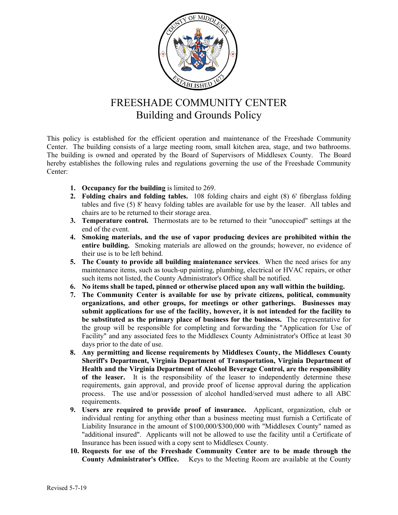

## FREESHADE COMMUNITY CENTER Building and Grounds Policy

This policy is established for the efficient operation and maintenance of the Freeshade Community Center. The building consists of a large meeting room, small kitchen area, stage, and two bathrooms. The building is owned and operated by the Board of Supervisors of Middlesex County. The Board hereby establishes the following rules and regulations governing the use of the Freeshade Community Center:

- **1. Occupancy for the building** is limited to 269.
- **2. Folding chairs and folding tables.** 108 folding chairs and eight (8) 6' fiberglass folding tables and five (5) 8' heavy folding tables are available for use by the leaser. All tables and chairs are to be returned to their storage area.
- **3. Temperature control.** Thermostats are to be returned to their "unoccupied" settings at the end of the event.
- **4. Smoking materials, and the use of vapor producing devices are prohibited within the entire building.** Smoking materials are allowed on the grounds; however, no evidence of their use is to be left behind.
- **5. The County to provide all building maintenance services**. When the need arises for any maintenance items, such as touch-up painting, plumbing, electrical or HVAC repairs, or other such items not listed, the County Administrator's Office shall be notified.
- **6. No items shall be taped, pinned or otherwise placed upon any wall within the building.**
- **7. The Community Center is available for use by private citizens, political, community organizations, and other groups, for meetings or other gatherings. Businesses may submit applications for use of the facility, however, it is not intended for the facility to be substituted as the primary place of business for the business.** The representative for the group will be responsible for completing and forwarding the "Application for Use of Facility" and any associated fees to the Middlesex County Administrator's Office at least 30 days prior to the date of use.
- **8. Any permitting and license requirements by Middlesex County, the Middlesex County Sheriff's Department, Virginia Department of Transportation, Virginia Department of Health and the Virginia Department of Alcohol Beverage Control, are the responsibility of the leaser.** It is the responsibility of the leaser to independently determine these requirements, gain approval, and provide proof of license approval during the application process. The use and/or possession of alcohol handled/served must adhere to all ABC requirements.
- **9. Users are required to provide proof of insurance.** Applicant, organization, club or individual renting for anything other than a business meeting must furnish a Certificate of Liability Insurance in the amount of \$100,000/\$300,000 with "Middlesex County" named as "additional insured". Applicants will not be allowed to use the facility until a Certificate of Insurance has been issued with a copy sent to Middlesex County.
- **10. Requests for use of the Freeshade Community Center are to be made through the County Administrator's Office.** Keys to the Meeting Room are available at the County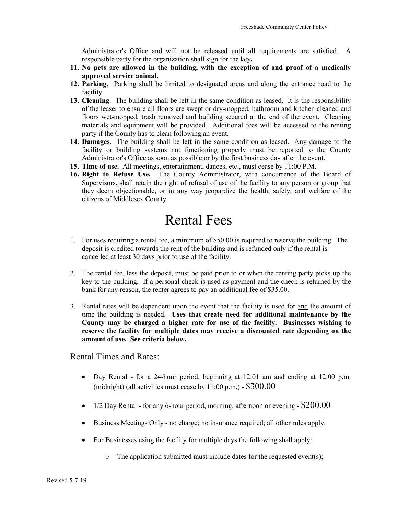Administrator's Office and will not be released until all requirements are satisfied. A responsible party for the organization shall sign for the key**.** 

- **11. No pets are allowed in the building, with the exception of and proof of a medically approved service animal.**
- **12. Parking.** Parking shall be limited to designated areas and along the entrance road to the facility.
- **13. Cleaning**. The building shall be left in the same condition as leased. It is the responsibility of the leaser to ensure all floors are swept or dry-mopped, bathroom and kitchen cleaned and floors wet-mopped, trash removed and building secured at the end of the event. Cleaning materials and equipment will be provided. Additional fees will be accessed to the renting party if the County has to clean following an event.
- **14. Damages.** The building shall be left in the same condition as leased. Any damage to the facility or building systems not functioning properly must be reported to the County Administrator's Office as soon as possible or by the first business day after the event.
- **15. Time of use.** All meetings, entertainment, dances, etc., must cease by 11:00 P.M.
- **16. Right to Refuse Use.** The County Administrator, with concurrence of the Board of Supervisors, shall retain the right of refusal of use of the facility to any person or group that they deem objectionable, or in any way jeopardize the health, safety, and welfare of the citizens of Middlesex County.

## Rental Fees

- 1. For uses requiring a rental fee, a minimum of \$50.00 is required to reserve the building. The deposit is credited towards the rent of the building and is refunded only if the rental is cancelled at least 30 days prior to use of the facility.
- 2. The rental fee, less the deposit, must be paid prior to or when the renting party picks up the key to the building. If a personal check is used as payment and the check is returned by the bank for any reason, the renter agrees to pay an additional fee of \$35.00.
- 3. Rental rates will be dependent upon the event that the facility is used for and the amount of time the building is needed. **Uses that create need for additional maintenance by the County may be charged a higher rate for use of the facility. Businesses wishing to reserve the facility for multiple dates may receive a discounted rate depending on the amount of use. See criteria below.**

Rental Times and Rates:

- Day Rental for a 24-hour period, beginning at 12:01 am and ending at 12:00 p.m. (midnight) (all activities must cease by  $11:00 \text{ p.m.}$ ) -  $$300.00$
- 1/2 Day Rental for any 6-hour period, morning, afternoon or evening  $-$  \$200.00
- Business Meetings Only no charge; no insurance required; all other rules apply.
- For Businesses using the facility for multiple days the following shall apply:
	- $\circ$  The application submitted must include dates for the requested event(s);